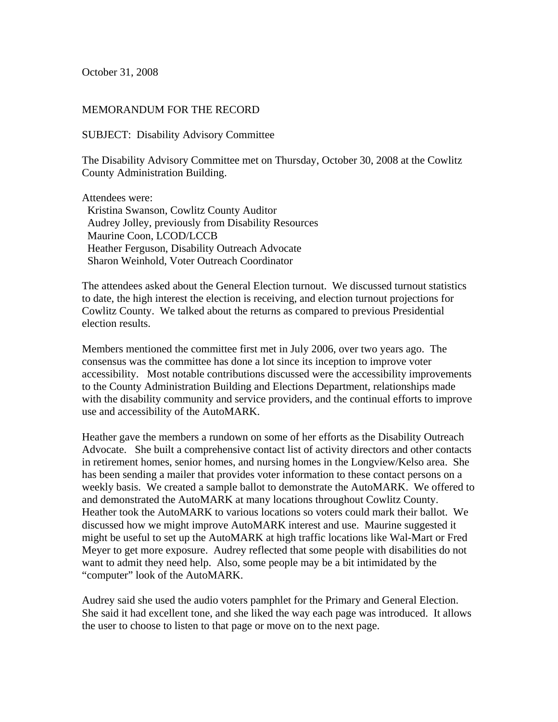October 31, 2008

## MEMORANDUM FOR THE RECORD

SUBJECT: Disability Advisory Committee

The Disability Advisory Committee met on Thursday, October 30, 2008 at the Cowlitz County Administration Building.

Attendees were: Kristina Swanson, Cowlitz County Auditor Audrey Jolley, previously from Disability Resources Maurine Coon, LCOD/LCCB Heather Ferguson, Disability Outreach Advocate Sharon Weinhold, Voter Outreach Coordinator

The attendees asked about the General Election turnout. We discussed turnout statistics to date, the high interest the election is receiving, and election turnout projections for Cowlitz County. We talked about the returns as compared to previous Presidential election results.

Members mentioned the committee first met in July 2006, over two years ago. The consensus was the committee has done a lot since its inception to improve voter accessibility. Most notable contributions discussed were the accessibility improvements to the County Administration Building and Elections Department, relationships made with the disability community and service providers, and the continual efforts to improve use and accessibility of the AutoMARK.

Heather gave the members a rundown on some of her efforts as the Disability Outreach Advocate. She built a comprehensive contact list of activity directors and other contacts in retirement homes, senior homes, and nursing homes in the Longview/Kelso area. She has been sending a mailer that provides voter information to these contact persons on a weekly basis. We created a sample ballot to demonstrate the AutoMARK. We offered to and demonstrated the AutoMARK at many locations throughout Cowlitz County. Heather took the AutoMARK to various locations so voters could mark their ballot. We discussed how we might improve AutoMARK interest and use. Maurine suggested it might be useful to set up the AutoMARK at high traffic locations like Wal-Mart or Fred Meyer to get more exposure. Audrey reflected that some people with disabilities do not want to admit they need help. Also, some people may be a bit intimidated by the "computer" look of the AutoMARK.

Audrey said she used the audio voters pamphlet for the Primary and General Election. She said it had excellent tone, and she liked the way each page was introduced. It allows the user to choose to listen to that page or move on to the next page.